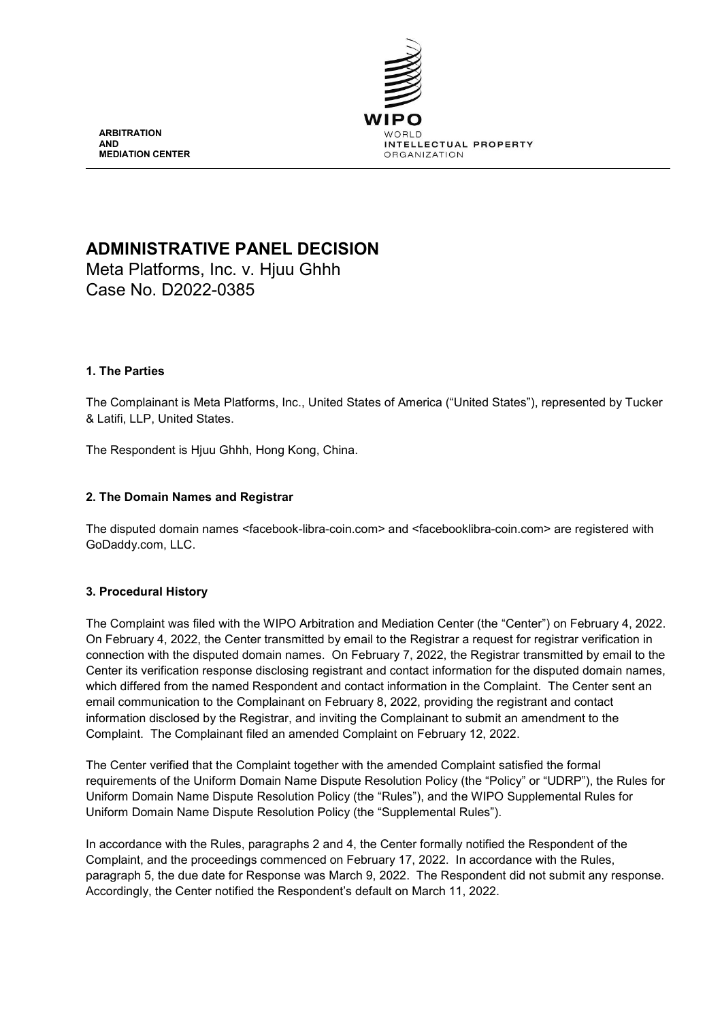

**ARBITRATION AND MEDIATION CENTER**

# **ADMINISTRATIVE PANEL DECISION**

Meta Platforms, Inc. v. Hjuu Ghhh Case No. D2022-0385

## **1. The Parties**

The Complainant is Meta Platforms, Inc., United States of America ("United States"), represented by Tucker & Latifi, LLP, United States.

The Respondent is Hjuu Ghhh, Hong Kong, China.

## **2. The Domain Names and Registrar**

The disputed domain names <facebook-libra-coin.com> and <facebooklibra-coin.com> are registered with GoDaddy.com, LLC.

#### **3. Procedural History**

The Complaint was filed with the WIPO Arbitration and Mediation Center (the "Center") on February 4, 2022. On February 4, 2022, the Center transmitted by email to the Registrar a request for registrar verification in connection with the disputed domain names. On February 7, 2022, the Registrar transmitted by email to the Center its verification response disclosing registrant and contact information for the disputed domain names, which differed from the named Respondent and contact information in the Complaint. The Center sent an email communication to the Complainant on February 8, 2022, providing the registrant and contact information disclosed by the Registrar, and inviting the Complainant to submit an amendment to the Complaint. The Complainant filed an amended Complaint on February 12, 2022.

The Center verified that the Complaint together with the amended Complaint satisfied the formal requirements of the Uniform Domain Name Dispute Resolution Policy (the "Policy" or "UDRP"), the Rules for Uniform Domain Name Dispute Resolution Policy (the "Rules"), and the WIPO Supplemental Rules for Uniform Domain Name Dispute Resolution Policy (the "Supplemental Rules").

In accordance with the Rules, paragraphs 2 and 4, the Center formally notified the Respondent of the Complaint, and the proceedings commenced on February 17, 2022. In accordance with the Rules, paragraph 5, the due date for Response was March 9, 2022. The Respondent did not submit any response. Accordingly, the Center notified the Respondent's default on March 11, 2022.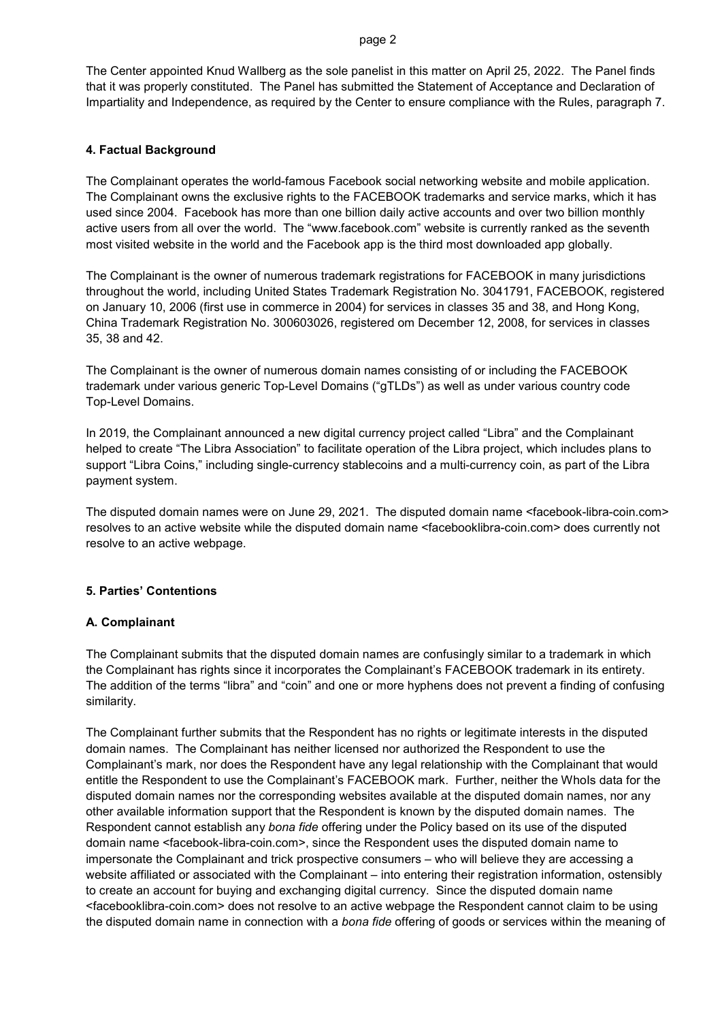#### page 2

The Center appointed Knud Wallberg as the sole panelist in this matter on April 25, 2022. The Panel finds that it was properly constituted. The Panel has submitted the Statement of Acceptance and Declaration of Impartiality and Independence, as required by the Center to ensure compliance with the Rules, paragraph 7.

#### **4. Factual Background**

The Complainant operates the world-famous Facebook social networking website and mobile application. The Complainant owns the exclusive rights to the FACEBOOK trademarks and service marks, which it has used since 2004. Facebook has more than one billion daily active accounts and over two billion monthly active users from all over the world. The "www.facebook.com" website is currently ranked as the seventh most visited website in the world and the Facebook app is the third most downloaded app globally.

The Complainant is the owner of numerous trademark registrations for FACEBOOK in many jurisdictions throughout the world, including United States Trademark Registration No. 3041791, FACEBOOK, registered on January 10, 2006 (first use in commerce in 2004) for services in classes 35 and 38, and Hong Kong, China Trademark Registration No. 300603026, registered om December 12, 2008, for services in classes 35, 38 and 42.

The Complainant is the owner of numerous domain names consisting of or including the FACEBOOK trademark under various generic Top-Level Domains ("gTLDs") as well as under various country code Top-Level Domains.

In 2019, the Complainant announced a new digital currency project called "Libra" and the Complainant helped to create "The Libra Association" to facilitate operation of the Libra project, which includes plans to support "Libra Coins," including single-currency stablecoins and a multi-currency coin, as part of the Libra payment system.

The disputed domain names were on June 29, 2021. The disputed domain name <facebook-libra-coin.com> resolves to an active website while the disputed domain name <facebooklibra-coin.com> does currently not resolve to an active webpage.

#### **5. Parties' Contentions**

#### **A. Complainant**

The Complainant submits that the disputed domain names are confusingly similar to a trademark in which the Complainant has rights since it incorporates the Complainant's FACEBOOK trademark in its entirety. The addition of the terms "libra" and "coin" and one or more hyphens does not prevent a finding of confusing similarity.

The Complainant further submits that the Respondent has no rights or legitimate interests in the disputed domain names. The Complainant has neither licensed nor authorized the Respondent to use the Complainant's mark, nor does the Respondent have any legal relationship with the Complainant that would entitle the Respondent to use the Complainant's FACEBOOK mark. Further, neither the Whols data for the disputed domain names nor the corresponding websites available at the disputed domain names, nor any other available information support that the Respondent is known by the disputed domain names. The Respondent cannot establish any *bona fide* offering under the Policy based on its use of the disputed domain name <facebook-libra-coin.com>, since the Respondent uses the disputed domain name to impersonate the Complainant and trick prospective consumers – who will believe they are accessing a website affiliated or associated with the Complainant – into entering their registration information, ostensibly to create an account for buying and exchanging digital currency. Since the disputed domain name <facebooklibra-coin.com> does not resolve to an active webpage the Respondent cannot claim to be using the disputed domain name in connection with a *bona fide* offering of goods or services within the meaning of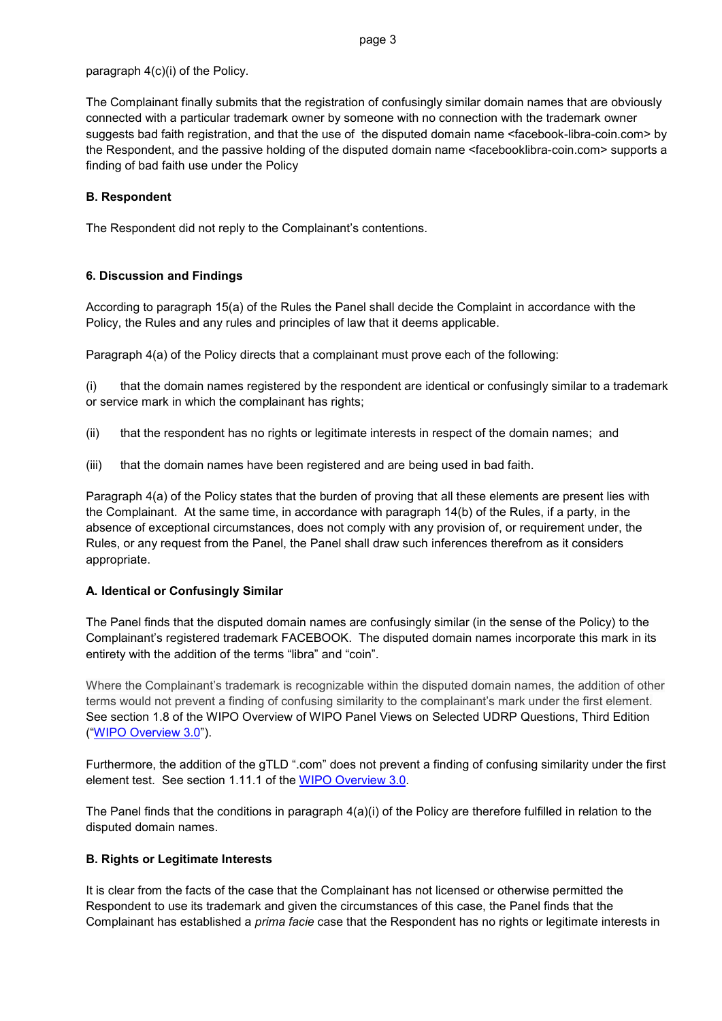## paragraph 4(c)(i) of the Policy.

The Complainant finally submits that the registration of confusingly similar domain names that are obviously connected with a particular trademark owner by someone with no connection with the trademark owner suggests bad faith registration, and that the use of the disputed domain name <facebook-libra-coin.com> by the Respondent, and the passive holding of the disputed domain name <facebooklibra-coin.com> supports a finding of bad faith use under the Policy

## **B. Respondent**

The Respondent did not reply to the Complainant's contentions.

## **6. Discussion and Findings**

According to paragraph 15(a) of the Rules the Panel shall decide the Complaint in accordance with the Policy, the Rules and any rules and principles of law that it deems applicable.

Paragraph 4(a) of the Policy directs that a complainant must prove each of the following:

(i) that the domain names registered by the respondent are identical or confusingly similar to a trademark or service mark in which the complainant has rights;

- (ii) that the respondent has no rights or legitimate interests in respect of the domain names; and
- (iii) that the domain names have been registered and are being used in bad faith.

Paragraph 4(a) of the Policy states that the burden of proving that all these elements are present lies with the Complainant. At the same time, in accordance with paragraph 14(b) of the Rules, if a party, in the absence of exceptional circumstances, does not comply with any provision of, or requirement under, the Rules, or any request from the Panel, the Panel shall draw such inferences therefrom as it considers appropriate.

# **A. Identical or Confusingly Similar**

The Panel finds that the disputed domain names are confusingly similar (in the sense of the Policy) to the Complainant's registered trademark FACEBOOK. The disputed domain names incorporate this mark in its entirety with the addition of the terms "libra" and "coin".

Where the Complainant's trademark is recognizable within the disputed domain names, the addition of other terms would not prevent a finding of confusing similarity to the complainant's mark under the first element. See section 1.8 of the WIPO Overview of WIPO Panel Views on Selected UDRP Questions, Third Edition (["WIPO Overview 3.0"](https://www.wipo.int/amc/en/domains/search/overview3.0/)).

Furthermore, the addition of the gTLD ".com" does not prevent a finding of confusing similarity under the first element test. See section 1.11.1 of the [WIPO Overview 3.0.](https://www.wipo.int/amc/en/domains/search/overview3.0/)

The Panel finds that the conditions in paragraph 4(a)(i) of the Policy are therefore fulfilled in relation to the disputed domain names.

# **B. Rights or Legitimate Interests**

It is clear from the facts of the case that the Complainant has not licensed or otherwise permitted the Respondent to use its trademark and given the circumstances of this case, the Panel finds that the Complainant has established a *prima facie* case that the Respondent has no rights or legitimate interests in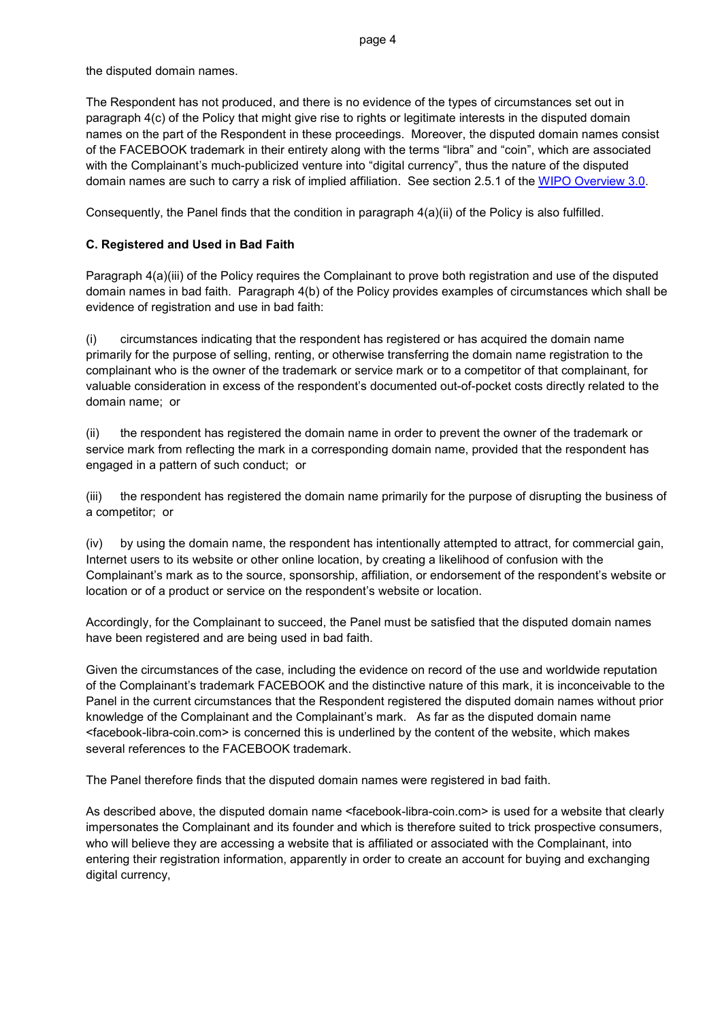the disputed domain names.

The Respondent has not produced, and there is no evidence of the types of circumstances set out in paragraph 4(c) of the Policy that might give rise to rights or legitimate interests in the disputed domain names on the part of the Respondent in these proceedings. Moreover, the disputed domain names consist of the FACEBOOK trademark in their entirety along with the terms "libra" and "coin", which are associated with the Complainant's much-publicized venture into "digital currency", thus the nature of the disputed domain names are such to carry a risk of implied affiliation. See section 2.5.1 of the [WIPO Overview 3.0.](https://www.wipo.int/amc/en/domains/search/overview3.0/)

Consequently, the Panel finds that the condition in paragraph 4(a)(ii) of the Policy is also fulfilled.

# **C. Registered and Used in Bad Faith**

Paragraph 4(a)(iii) of the Policy requires the Complainant to prove both registration and use of the disputed domain names in bad faith. Paragraph 4(b) of the Policy provides examples of circumstances which shall be evidence of registration and use in bad faith:

(i) circumstances indicating that the respondent has registered or has acquired the domain name primarily for the purpose of selling, renting, or otherwise transferring the domain name registration to the complainant who is the owner of the trademark or service mark or to a competitor of that complainant, for valuable consideration in excess of the respondent's documented out-of-pocket costs directly related to the domain name; or

(ii) the respondent has registered the domain name in order to prevent the owner of the trademark or service mark from reflecting the mark in a corresponding domain name, provided that the respondent has engaged in a pattern of such conduct; or

(iii) the respondent has registered the domain name primarily for the purpose of disrupting the business of a competitor; or

(iv) by using the domain name, the respondent has intentionally attempted to attract, for commercial gain, Internet users to its website or other online location, by creating a likelihood of confusion with the Complainant's mark as to the source, sponsorship, affiliation, or endorsement of the respondent's website or location or of a product or service on the respondent's website or location.

Accordingly, for the Complainant to succeed, the Panel must be satisfied that the disputed domain names have been registered and are being used in bad faith.

Given the circumstances of the case, including the evidence on record of the use and worldwide reputation of the Complainant's trademark FACEBOOK and the distinctive nature of this mark, it is inconceivable to the Panel in the current circumstances that the Respondent registered the disputed domain names without prior knowledge of the Complainant and the Complainant's mark. As far as the disputed domain name <facebook-libra-coin.com> is concerned this is underlined by the content of the website, which makes several references to the FACEBOOK trademark.

The Panel therefore finds that the disputed domain names were registered in bad faith.

As described above, the disputed domain name <facebook-libra-coin.com> is used for a website that clearly impersonates the Complainant and its founder and which is therefore suited to trick prospective consumers, who will believe they are accessing a website that is affiliated or associated with the Complainant, into entering their registration information, apparently in order to create an account for buying and exchanging digital currency,